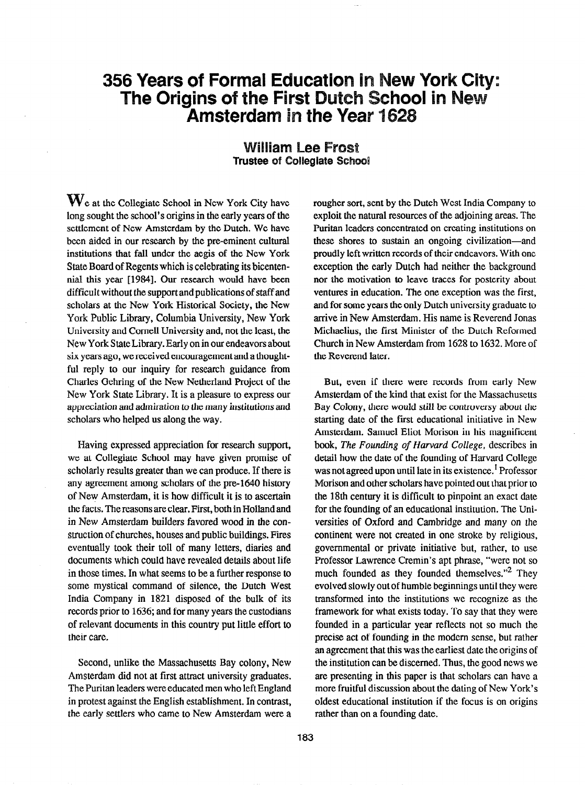## 356 Years of Formal Education in New York City: The Origins of the First Dutch School in New Amsterdam in the Year 1628

## **William Lee Frost Trustee of Collegiate School**

 $\mathbf{W}_{\text{e}}$  at the Collegiate School in New York City have long sought the school's origins in the early years of the settlement of New Amsterdam by the Dutch, We have been aided in our research by the pre-eminent cultural institutions that fall under the aegis of the New York State Board of Regents which is celebrating its bicentennial this year [1984]. Our research would have been difficult without the support and publications of staff and scholars at the New York Historical Society, the New York Public Library, Columbia University, New York University and Cornell University and, not the least, the New York State Library. Early on in our endeavors about six years ago, we received encouragement and a thoughtful reply to our inquiry for research guidance from Charles Gehring of the New Netherland Project of the New York State Library, It is a pleasure to express our appreciation and admiration to the many institutions and scholars who helped us along the way.

Having expressed appreciation for research support, we at Collegiate School may have given promise of scholarly results greater than we can produce. If there is any agreement among scholars of the pre-1640 history of New Amsterdam, it is how difficult it is to ascertain the facts. The reasons are clear. First, both in Holland and in New Amsterdam builders favored wood in the construction of churches, houses and public buildings. Fires eventually took their toll of many letters, diaries and documents which could have revealed details about life in those times. In what seems to be a further response to some mystical command of silence, the Dutch West India Company in 1821 disposed of the bulk of its records prior to 1636; and for many years the custodians of relevant documents in this country put little effort to their care.

Second, unlike the Massachusetts Bay colony, New Amsterdam did not at first attract university graduates. The Puritan leaders were educated men who left England in protest against the English establishment. In contrast, the early settlers who came to New Amsterdam were a rougher sort, sent by the Dutch West India Company to exploit the natural resources of the adjoining areas. The Puritan leaders concentrated on creating institutions on these shores to sustain an ongoing civilization-and proudly left written records of their endeavors. With one exception the early Dutch had neither the background nor the motivation to leave traces for posterity about ventures in education. The one exception was the first, and for some years the only Dutch university graduate to arrive in New Amsterdam. His name is Reverend Jonas Michaelius, the first Minister of the Dutch Reformed Church in New Amsterdam from 1628 to 1632. More of the Reverend later.

But, even if there were records from early New Amsterdam of the kind that exist for the Massachusetts Bay Colony, there would still be controversy about the starting date of the first educational initiative in New Amsterdam. Samuel Eliot Morison in his magnificent book, The Founding of Harvard College, describes in detail how the date of the founding of Harvard College was not agreed upon until late in its existence.<sup>1</sup> Professor Morison and other scholars have pointed out that prior to the 18th century it is difficult to pinpoint an exact date for the founding of an educational institution. The Universities of Oxford and Cambridge and many on the continent were not created in one stroke by religious, governmental or private initiative but, rather, to use Professor Lawrence Cremin's apt phrase, "were not so much founded as they founded themselves."<sup>2</sup> They evolved slowly out of humble beginnings until they were transformed into the institutions we recognize as the framework for what exists today. To say that they were founded in a particular year reflects not so much the precise act of founding in the modem sense, but rather an agreement that this was the earliest date the origins of the institution can be discerned. Thus, the good news we are presenting in this paper is that scholars can have a more fruitful discussion about the dating of New York's oldest educational institution if the focus is on origins rather than on a founding date.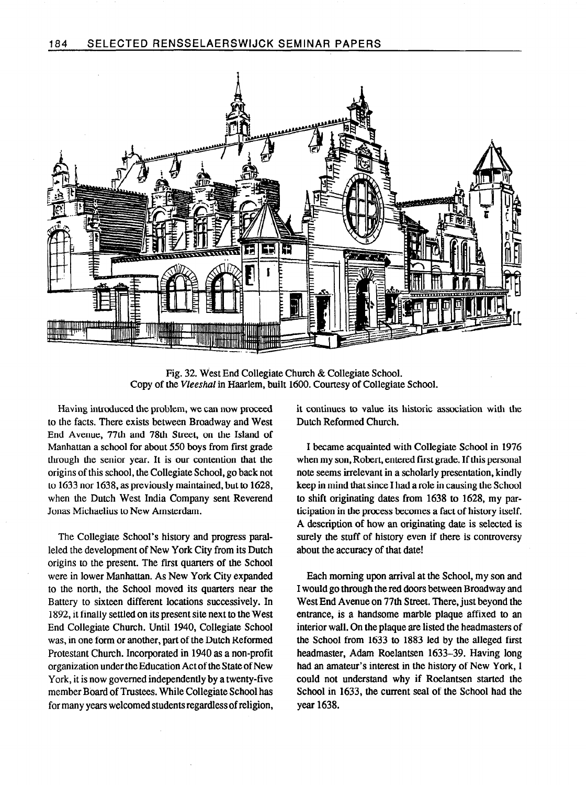

Fig. 32. West End Collegiate Church & Collegiate School. Copy of the Vleeshal in Haarlem, built 1600. Courtesy of Collegiate School.

Having introduced the problem, we can now proceed to the facts. There exists between Broadway and West End Avenue, 77th and 78th Street, on the Island of Manhattan a school for about 550 boys from first grade through the senior year. It is our contention that the origins of this school, the Collegiate School, go back not to 1633 nor 1638, as previously maintained, but to 1628, when the Dutch West India Company sent Reverend Jonas Michaelius to New Amsterdam.

The Collegiate School's history and progress paralleled the development of New York City from its Dutch origins to the present. The first quarters of the School were in lower Manhattan. As New York City expanded to the north, the School moved its quarters near the Battery to sixteen different locations successively. In 1892, it finally settled on its present site next to the West End Collegiate Church. Until 1940, Collegiate School was, in one form or another, part of the Dutch Reformed Protestant Church. Incorporated in 1940 as a non-profit organization under the Education Act of the State of New York, it is now governed independently by a twenty-five member Board of Trustees. While Collegiate School has for many years welcomed students regardless of religion,

it continues to value its historic association with the Dutch Reformed Church.

I became acquainted with Collegiate School in 1976 when my son, Robert, entered first grade. If this personal note seems irrelevant in a scholarly presentation, kindly keep in mind that since I had a role in causing the School to shift originating dates from 1638 to 1628, my participation in the process becomes a fact of history itself. A description of how an originating date is selected is surely the stuff of history even if there is controversy about the accuracy of that date!

Each morning upon arrival at the School, my son and I would go through the red doors between Broadway and West End Avenue on 77th Street. There, just beyond the entrance, is a handsome marble plaque affixed to an interior wall. On the plaque are listed the headmasters of the School from 1633 to 1883 led by the alleged first headmaster, Adam Roelantsen 1633-39. Having long had an amateur's interest in the history of New York, I could not understand why if Roelantsen started the School in 1633, the current seal of the School had the year 1638.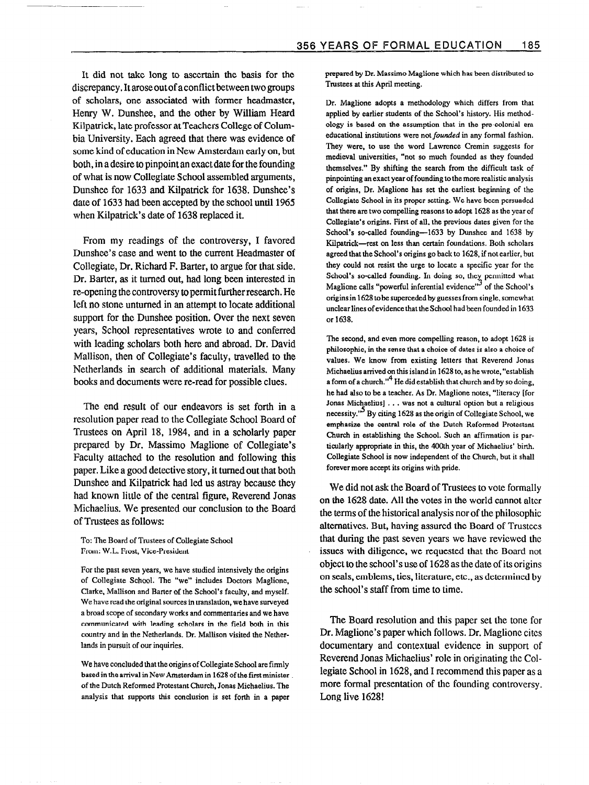It did not take long to ascertain the basis for the discrepancy. It arose out of a conflict between two groups of scholars, one associated with former headmaster, Henry W. Dunshee, and the other by William Heard Kilpatrick, late professor at Teachers College of Columbia University. Each agreed that there was evidence of some kind of education in New Amsterdam early on, but both, in a desire to pinpoint an exact date for the founding of what is now Collegiate School assembled arguments, Dunshee for 1633 and Kilpatrick for 1638. Dunshee's date of 1633 had been accepted by the school until 1965 when Kilpatrick's date of 1638 replaced it.

From my readings of the controversy, I favored Dunshee's case and went to the current Headmaster of Collegiate, Dr. Richard F. Barter, to argue for that side. Dr. Barter, as it turned out, had long been interested in re-opening the controversy to permit further research. He left no stone unturned in an attempt to locate additional support for the Dunshee position. Over the next seven years, School representatives wrote to and conferred with leading scholars both here and abroad. Dr. David Mallison, then of Collegiate's faculty, travelled to the Netherlands in search of additional materials. Many books and documents were re-read for possible clues.

The end result of our endeavors is set forth in a resolution paper read to the Collegiate School Board of Trustees on April 18, 1984, and in a scholarly paper prepared by Dr. Massimo Maglione of Collegiate's Faculty attached to the resolution and following this paper. Like a good detective story, it turned out that both Dunshee and Kilpatrick had led us astray because they had known little of the central figure, Reverend Jonas Michaelius. We presented our conclusion to the Board of Trustees as follows:

To: The Board of Trustees of Collegiate School From: W.L. Frost, Vice-President

For the past seven years, we have studied intensively the origins of Collegiate School. The "we" includes Doctors Maglione, Clarke, Mallison and Barter of the School's faculty, and myself. We have read the original sources in translation, we have surveyed a broad scope of secondary works and commentaries and we have communicated with leading scholars in the field both in this country and in the Netherlands. Dr. Mallison visited the Netherlands in pursuit of our inquiries.

We have concluded that the origins of Collegiate School are firmly based in the arrival in New Amsterdam in 1628 of the first minister of the Dutch Reformed Protestant Church, Jonas Michaelius. The analysis that supports this conclusion is set forth in a paper

prepared by Dr. Massimo Maglione which has been distributed to Trustees at this April meeting.

Dr. Maglione adopts a methodology which differs from that applied by earlier students of the School's history. His methodology is based on the assumption that in the pre-colonial era educational institutions were not founded in any formal fashion. They were, to use the word Lawrence Cremin suggests for medieval universities, "not so much founded as they founded themselves." By shifting the search from the difficult task of pinpointing an exact year of founding to the more realistic analysis of origins, Dr. Maglione has set the earliest beginning of the Collegiate School in its proper setting. We have been persuaded that there are two compelling reasons to adopt 1628 as the year of Collegiate's origins. First of all, the previous dates given for the School's so-called founding-1633 by Dunshee and 1638 by Kilpatrick-rest on less than certain foundations. Both scholars agreed that the School's origins go back to 1628, if not earlier, but they could not resist the urge to locate a specific year for the School's so-called founding. In doing so, they permitted what Maglione calls "powerful inferential evidence"<sup>2</sup> of the School's origins in 1628 to be superceded by guesses from single, somewhat unclear lines of evidence that the School had been founded in 1633 or 1638.

The second, and even more compelling reason, to adopt 1628 is philosophic, in the sense that a choice of dates is also a choice of values. We know from existing letters that Reverend Jonas Michaelius arrived on this island in 1628 to, as he wrote, "establish a form of a church."<sup>4</sup> He did establish that church and by so doing, he had also to be a teacher. As Dr. Maglione notes, "literacy [for Jonas Michaelius] . . . was not a cultural option but a religious necessity.<sup>15</sup> By citing 1628 as the origin of Collegiate School, we emphasize the central role of the Dutch Reformed Protestant Church in establishing the School. Such an affirmation is particularly appropriate in this, the 400th year of Michaelius' birth. Collegiate School is now independent of the Church, but it shall forever more accept its origins with pride.

We did not ask the Board of Trustees to vote formally on the 1628 date. All the votes in the world cannot alter the terms of the historical analysis nor of the philosophic alternatives. But, having assured the Board of Trustees that during the past seven years we have reviewed the issues with diligence, we requested that the Board not object to the school's use of 1628 as the date of its origins on seals, emblems, ties, literature, etc., as determined by the school's staff from time to time.

The Board resolution and this paper set the tone for Dr. Maglione's paper which follows. Dr. Maglione cites documentary and contextual evidence in support of Reverend Jonas Michaelius' role in originating the Collegiate School in 1628, and I recommend this paper as a more formal presentation of the founding controversy. Long live 1628!